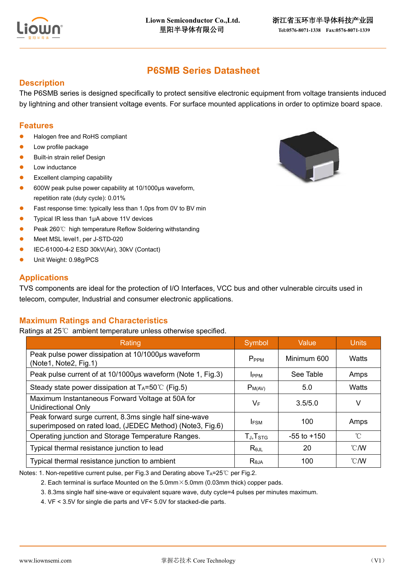

# **P6SMB Series Datasheet**

### **Description**

The P6SMB series is designed specifically to protect sensitive electronic equipment from voltage transients induced by lightning and other transient voltage events. For surface mounted applications in order to optimize board space.

#### **Features**

- Halogen free and RoHS compliant
- ⚫ Low profile package
- ⚫ Built-in strain relief Design
- ⚫ Low inductance
- Excellent clamping capability
- ⚫ 600W peak pulse power capability at 10/1000μs waveform, repetition rate (duty cycle): 0.01%
- Fast response time: typically less than 1.0ps from 0V to BV min
- ⚫ Typical IR less than 1μA above 11V devices
- ⚫ Peak 260℃ high temperature Reflow Soldering withstanding
- Meet MSL level1, per J-STD-020
- ⚫ IEC-61000-4-2 ESD 30kV(Air), 30kV (Contact)
- ⚫ Unit Weight: 0.98g/PCS

#### **Applications**

TVS components are ideal for the protection of I/O Interfaces, VCC bus and other vulnerable circuits used in telecom, computer, Industrial and consumer electronic applications.

# **Maximum Ratings and Characteristics**

Ratings at 25℃ ambient temperature unless otherwise specified.

| Rating                                                                                                               | Symbol               | Value           | <b>Units</b>             |
|----------------------------------------------------------------------------------------------------------------------|----------------------|-----------------|--------------------------|
| Peak pulse power dissipation at 10/1000µs waveform<br>(Note1, Note2, Fig.1)                                          | P <sub>PPM</sub>     | Minimum 600     | Watts                    |
| Peak pulse current of at 10/1000µs waveform (Note 1, Fig.3)                                                          | <b>I</b> PPM         | See Table       | Amps                     |
| Steady state power dissipation at $T_A = 50^{\circ}$ (Fig.5)                                                         | $P_{M(AV)}$          | 5.0             | Watts                    |
| Maximum Instantaneous Forward Voltage at 50A for<br><b>Unidirectional Only</b>                                       | $V_F$                | 3.5/5.0         | V                        |
| Peak forward surge current, 8.3ms single half sine-wave<br>superimposed on rated load, (JEDEC Method) (Note3, Fig.6) | <b>IFSM</b>          | 100             | Amps                     |
| Operating junction and Storage Temperature Ranges.                                                                   | TJ, T <sub>STG</sub> | $-55$ to $+150$ | $^{\circ}C$              |
| Typical thermal resistance junction to lead                                                                          | $R_{\theta$ JL       | 20              | $\mathcal{C}/\mathsf{W}$ |
| Typical thermal resistance junction to ambient                                                                       | $R_{\theta$ JA       | 100             | $^{\circ}$ C/W           |

Notes: 1. Non-repetitive current pulse, per Fig.3 and Derating above T<sub>A</sub>=25℃ per Fig.2.

2. Each terminal is surface Mounted on the 5.0mm  $\times$  5.0mm (0.03mm thick) copper pads.

3. 8.3ms single half sine-wave or equivalent square wave, duty cycle=4 pulses per minutes maximum.

4. VF < 3.5V for single die parts and VF< 5.0V for stacked-die parts.

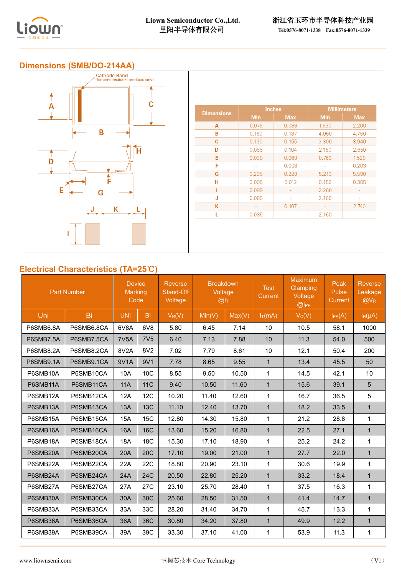



# **Electrical Characteristics (TA=25**℃**)**

| <b>Part Number</b> |            | <b>Device</b><br><b>Marking</b><br>Code |                 | <b>Reverse</b><br>Stand-Off<br>Voltage | <b>Breakdown</b><br>Voltage<br>@I <sub>T</sub> |        | <b>Test</b><br><b>Current</b> | Maximum<br><b>Clamping</b><br>Voltage<br>@ | Peak<br>Pulse<br><b>Current</b> | <b>Reverse</b><br>Leakage<br>$@V_{R}$ |
|--------------------|------------|-----------------------------------------|-----------------|----------------------------------------|------------------------------------------------|--------|-------------------------------|--------------------------------------------|---------------------------------|---------------------------------------|
| Uni                | Bi         | <b>UNI</b>                              | B <sub>1</sub>  | $V_R(V)$                               | Min(V)                                         | Max(V) | $I_T(mA)$                     | $V_C(V)$                                   | $I_{PP}(A)$                     | $I_R(\mu A)$                          |
| P6SMB6.8A          | P6SMB6.8CA | 6V8A                                    | 6V <sub>8</sub> | 5.80                                   | 6.45                                           | 7.14   | 10                            | 10.5                                       | 58.1                            | 1000                                  |
| P6SMB7.5A          | P6SMB7.5CA | <b>7V5A</b>                             | 7V <sub>5</sub> | 6.40                                   | 7.13                                           | 7.88   | 10                            | 11.3                                       | 54.0                            | 500                                   |
| P6SMB8.2A          | P6SMB8.2CA | 8V2A                                    | 8V2             | 7.02                                   | 7.79                                           | 8.61   | 10                            | 12.1                                       | 50.4                            | 200                                   |
| P6SMB9.1A          | P6SMB9.1CA | 9V1A                                    | 9V1             | 7.78                                   | 8.65                                           | 9.55   | $\mathbf{1}$                  | 13.4                                       | 45.5                            | 50                                    |
| P6SMB10A           | P6SMB10CA  | 10A                                     | 10C             | 8.55                                   | 9.50                                           | 10.50  | 1                             | 14.5                                       | 42.1                            | 10                                    |
| P6SMB11A           | P6SMB11CA  | <b>11A</b>                              | <b>11C</b>      | 9.40                                   | 10.50                                          | 11.60  | $\mathbf{1}$                  | 15.6                                       | 39.1                            | 5                                     |
| P6SMB12A           | P6SMB12CA  | <b>12A</b>                              | 12C             | 10.20                                  | 11.40                                          | 12.60  | 1                             | 16.7                                       | 36.5                            | 5                                     |
| P6SMB13A           | P6SMB13CA  | 13A                                     | 13C             | 11.10                                  | 12.40                                          | 13.70  | $\mathbf{1}$                  | 18.2                                       | 33.5                            | $\mathbf{1}$                          |
| P6SMB15A           | P6SMB15CA  | 15A                                     | <b>15C</b>      | 12.80                                  | 14.30                                          | 15.80  | $\mathbf{1}$                  | 21.2                                       | 28.8                            | 1                                     |
| P6SMB16A           | P6SMB16CA  | <b>16A</b>                              | 16C             | 13.60                                  | 15.20                                          | 16.80  | $\mathbf{1}$                  | 22.5                                       | 27.1                            | $\mathbf{1}$                          |
| P6SMB18A           | P6SMB18CA  | <b>18A</b>                              | <b>18C</b>      | 15.30                                  | 17.10                                          | 18.90  | $\mathbf 1$                   | 25.2                                       | 24.2                            | 1                                     |
| P6SMB20A           | P6SMB20CA  | 20A                                     | 20 <sub>C</sub> | 17.10                                  | 19.00                                          | 21.00  | $\mathbf{1}$                  | 27.7                                       | 22.0                            | $\mathbf{1}$                          |
| P6SMB22A           | P6SMB22CA  | 22A                                     | 22C             | 18.80                                  | 20.90                                          | 23.10  | $\mathbf{1}$                  | 30.6                                       | 19.9                            | $\mathbf{1}$                          |
| P6SMB24A           | P6SMB24CA  | 24A                                     | <b>24C</b>      | 20.50                                  | 22.80                                          | 25.20  | $\mathbf{1}$                  | 33.2                                       | 18.4                            | $\mathbf{1}$                          |
| P6SMB27A           | P6SMB27CA  | 27A                                     | 27C             | 23.10                                  | 25.70                                          | 28.40  | $\mathbf{1}$                  | 37.5                                       | 16.3                            | 1                                     |
| P6SMB30A           | P6SMB30CA  | 30A                                     | 30C             | 25.60                                  | 28.50                                          | 31.50  | $\mathbf{1}$                  | 41.4                                       | 14.7                            | $\mathbf{1}$                          |
| P6SMB33A           | P6SMB33CA  | 33A                                     | 33C             | 28.20                                  | 31.40                                          | 34.70  | $\mathbf 1$                   | 45.7                                       | 13.3                            | 1                                     |
| P6SMB36A           | P6SMB36CA  | 36A                                     | 36C             | 30.80                                  | 34.20                                          | 37.80  | $\mathbf{1}$                  | 49.9                                       | 12.2                            | $\mathbf{1}$                          |
| P6SMB39A           | P6SMB39CA  | 39A                                     | 39C             | 33.30                                  | 37.10                                          | 41.00  | $\mathbf{1}$                  | 53.9                                       | 11.3                            | 1                                     |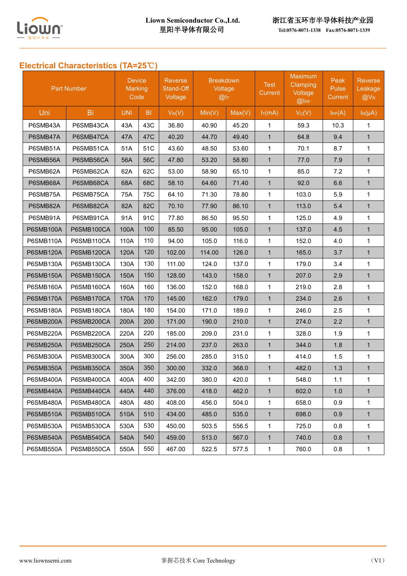

里阳半导体有限公司 **[Tel:0576-8071-1338](tel:0576-8071-1338) Fax:0576-8071-1339** 

# **Electrical Characteristics (TA=25**℃**)**

| <b>Part Number</b> |            | <b>Device</b><br>Marking<br>Code |                | <b>Reverse</b><br>Stand-Off<br>Voltage | <b>Breakdown</b><br>Voltage<br>@I <sub>T</sub> |        | <b>Test</b><br><b>Current</b> | <b>Maximum</b><br>Clamping<br>Voltage<br>@ | Peak<br>Pulse<br>Current | <b>Reverse</b><br>Leakage<br>$@V_{R}$ |
|--------------------|------------|----------------------------------|----------------|----------------------------------------|------------------------------------------------|--------|-------------------------------|--------------------------------------------|--------------------------|---------------------------------------|
| Uni                | Bi         | <b>UNI</b>                       | B <sub>l</sub> | $V_R(V)$                               | Min(V)                                         | Max(V) | $I_T(mA)$                     | Vc(V)                                      | IPP(A)                   | $I_R(\mu A)$                          |
| P6SMB43A           | P6SMB43CA  | 43A                              | 43C            | 36.80                                  | 40.90                                          | 45.20  | 1                             | 59.3                                       | 10.3                     | 1                                     |
| P6SMB47A           | P6SMB47CA  | 47A                              | 47C            | 40.20                                  | 44.70                                          | 49.40  | $\mathbf{1}$                  | 64.8                                       | 9.4                      | $\mathbf{1}$                          |
| P6SMB51A           | P6SMB51CA  | 51A                              | 51C            | 43.60                                  | 48.50                                          | 53.60  | $\mathbf{1}$                  | 70.1                                       | 8.7                      | $\mathbf{1}$                          |
| P6SMB56A           | P6SMB56CA  | 56A                              | 56C            | 47.80                                  | 53.20                                          | 58.80  | $\mathbf{1}$                  | 77.0                                       | 7.9                      | $\mathbf{1}$                          |
| P6SMB62A           | P6SMB62CA  | 62A                              | 62C            | 53.00                                  | 58.90                                          | 65.10  | $\mathbf{1}$                  | 85.0                                       | 7.2                      | $\mathbf{1}$                          |
| P6SMB68A           | P6SMB68CA  | 68A                              | 68C            | 58.10                                  | 64.60                                          | 71.40  | $\mathbf{1}$                  | 92.0                                       | 6.6                      | $\mathbf{1}$                          |
| P6SMB75A           | P6SMB75CA  | 75A                              | 75C            | 64.10                                  | 71.30                                          | 78.80  | 1                             | 103.0                                      | 5.9                      | 1                                     |
| P6SMB82A           | P6SMB82CA  | 82A                              | 82C            | 70.10                                  | 77.90                                          | 86.10  | $\mathbf{1}$                  | 113.0                                      | 5.4                      | $\mathbf{1}$                          |
| P6SMB91A           | P6SMB91CA  | 91A                              | 91C            | 77.80                                  | 86.50                                          | 95.50  | $\mathbf{1}$                  | 125.0                                      | 4.9                      | $\mathbf{1}$                          |
| <b>P6SMB100A</b>   | P6SMB100CA | 100A                             | 100            | 85.50                                  | 95.00                                          | 105.0  | $\mathbf{1}$                  | 137.0                                      | 4.5                      | $\mathbf{1}$                          |
| P6SMB110A          | P6SMB110CA | 110A                             | 110            | 94.00                                  | 105.0                                          | 116.0  | 1                             | 152.0                                      | 4.0                      | $\mathbf{1}$                          |
| P6SMB120A          | P6SMB120CA | 120A                             | 120            | 102.00                                 | 114.00                                         | 126.0  | $\mathbf{1}$                  | 165.0                                      | 3.7                      | $\mathbf{1}$                          |
| P6SMB130A          | P6SMB130CA | 130A                             | 130            | 111.00                                 | 124.0                                          | 137.0  | 1                             | 179.0                                      | 3.4                      | $\mathbf{1}$                          |
| P6SMB150A          | P6SMB150CA | 150A                             | 150            | 128.00                                 | 143.0                                          | 158.0  | $\mathbf{1}$                  | 207.0                                      | 2.9                      | $\mathbf{1}$                          |
| P6SMB160A          | P6SMB160CA | 160A                             | 160            | 136.00                                 | 152.0                                          | 168.0  | $\mathbf 1$                   | 219.0                                      | 2.8                      | 1                                     |
| P6SMB170A          | P6SMB170CA | 170A                             | 170            | 145.00                                 | 162.0                                          | 179.0  | $\mathbf{1}$                  | 234.0                                      | 2.6                      | $\mathbf{1}$                          |
| <b>P6SMB180A</b>   | P6SMB180CA | 180A                             | 180            | 154.00                                 | 171.0                                          | 189.0  | $\mathbf{1}$                  | 246.0                                      | 2.5                      | $\mathbf{1}$                          |
| P6SMB200A          | P6SMB200CA | 200A                             | 200            | 171.00                                 | 190.0                                          | 210.0  | $\mathbf{1}$                  | 274.0                                      | 2.2                      | $\mathbf{1}$                          |
| P6SMB220A          | P6SMB220CA | 220A                             | 220            | 185.00                                 | 209.0                                          | 231.0  | $\mathbf{1}$                  | 328.0                                      | 1.9                      | $\mathbf{1}$                          |
| P6SMB250A          | P6SMB250CA | 250A                             | 250            | 214.00                                 | 237.0                                          | 263.0  | $\mathbf{1}$                  | 344.0                                      | 1.8                      | $\mathbf{1}$                          |
| P6SMB300A          | P6SMB300CA | 300A                             | 300            | 256.00                                 | 285.0                                          | 315.0  | $\mathbf{1}$                  | 414.0                                      | 1.5                      | $\mathbf{1}$                          |
| P6SMB350A          | P6SMB350CA | 350A                             | 350            | 300.00                                 | 332.0                                          | 368.0  | $\mathbf{1}$                  | 482.0                                      | 1.3                      | $\mathbf{1}$                          |
| P6SMB400A          | P6SMB400CA | 400A                             | 400            | 342.00                                 | 380.0                                          | 420.0  | 1                             | 548.0                                      | 1.1                      | 1                                     |
| P6SMB440A          | P6SMB440CA | 440A                             | 440            | 376.00                                 | 418.0                                          | 462.0  | $\mathbf{1}$                  | 602.0                                      | 1.0                      | $\mathbf{1}$                          |
| P6SMB480A          | P6SMB480CA | 480A                             | 480            | 408.00                                 | 456.0                                          | 504.0  | 1                             | 658.0                                      | 0.9                      | $\mathbf{1}$                          |
| P6SMB510A          | P6SMB510CA | 510A                             | 510            | 434.00                                 | 485.0                                          | 535.0  | $\mathbf{1}$                  | 698.0                                      | 0.9                      | $\mathbf{1}$                          |
| P6SMB530A          | P6SMB530CA | 530A                             | 530            | 450.00                                 | 503.5                                          | 556.5  | $\mathbf 1$                   | 725.0                                      | 0.8                      | $\mathbf{1}$                          |
| P6SMB540A          | P6SMB540CA | 540A                             | 540            | 459.00                                 | 513.0                                          | 567.0  | $\mathbf{1}$                  | 740.0                                      | 0.8                      | $\mathbf{1}$                          |
| P6SMB550A          | P6SMB550CA | 550A                             | 550            | 467.00                                 | 522.5                                          | 577.5  | 1                             | 760.0                                      | 0.8                      | $\mathbf{1}$                          |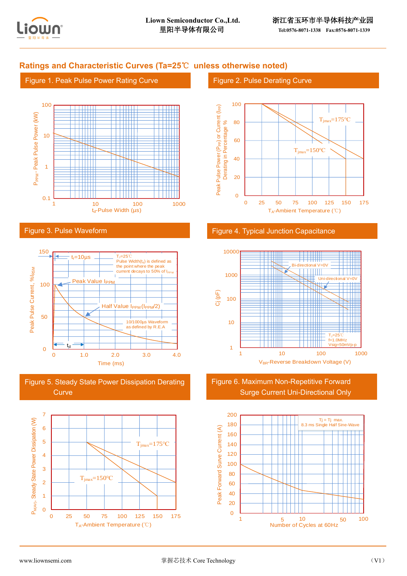

## **Ratings and Characteristic Curves (Ta=25**℃ **unless otherwise noted)**

#### Figure 1. Peak Pulse Power Rating Curve



#### Figure 3. Pulse Waveform



Figure 5. Steady State Power Dissipation Derating **Curve** 



#### Figure 2. Pulse Derating Curve



#### Figure 4. Typical Junction Capacitance



Figure 6. Maximum Non-Repetitive Forward Surge Current Uni-Directional Only

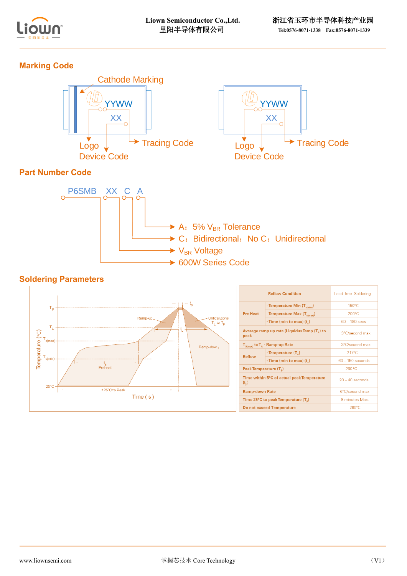

# **Marking Code**





# **Part Number Code**



### **Soldering Parameters**